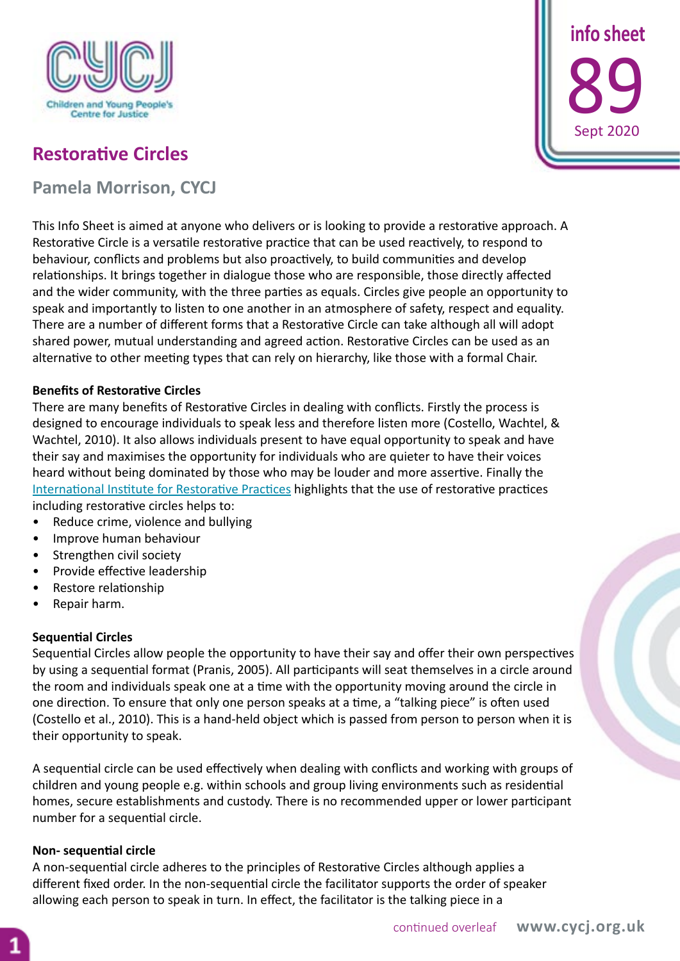

 **info sheet** 89 Sept 202

# **Restorative Circles**

**Pamela Morrison, CYCJ**

This Info Sheet is aimed at anyone who delivers or is looking to provide a restorative approach. A Restorative Circle is a versatile restorative practice that can be used reactively, to respond to behaviour, conflicts and problems but also proactively, to build communities and develop relationships. It brings together in dialogue those who are responsible, those directly affected and the wider community, with the three parties as equals. Circles give people an opportunity to speak and importantly to listen to one another in an atmosphere of safety, respect and equality. There are a number of different forms that a Restorative Circle can take although all will adopt shared power, mutual understanding and agreed action. Restorative Circles can be used as an alternative to other meeting types that can rely on hierarchy, like those with a formal Chair.

## **Benefits of Restorative Circles**

There are many benefits of Restorative Circles in dealing with conflicts. Firstly the process is designed to encourage individuals to speak less and therefore listen more (Costello, Wachtel, & Wachtel, 2010). It also allows individuals present to have equal opportunity to speak and have their say and maximises the opportunity for individuals who are quieter to have their voices heard without being dominated by those who may be louder and more assertive. Finally the [International Institute for Restorative Practices](https://www.iirp.edu/) highlights that the use of restorative practices including restorative circles helps to:

- Reduce crime, violence and bullying
- Improve human behaviour
- Strengthen civil society
- Provide effective leadership
- Restore relationship
- Repair harm.

## **Sequential Circles**

Sequential Circles allow people the opportunity to have their say and offer their own perspectives by using a sequential format (Pranis, 2005). All participants will seat themselves in a circle around the room and individuals speak one at a time with the opportunity moving around the circle in one direction. To ensure that only one person speaks at a time, a "talking piece" is often used (Costello et al., 2010). This is a hand-held object which is passed from person to person when it is their opportunity to speak.

A sequential circle can be used effectively when dealing with conflicts and working with groups of children and young people e.g. within schools and group living environments such as residential homes, secure establishments and custody. There is no recommended upper or lower participant number for a sequential circle.

## **Non- sequential circle**

A non-sequential circle adheres to the principles of Restorative Circles although applies a different fixed order. In the non-sequential circle the facilitator supports the order of speaker allowing each person to speak in turn. In effect, the facilitator is the talking piece in a